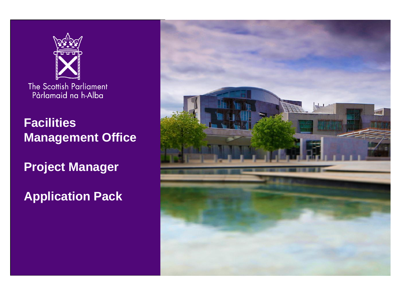

**Facilities Management Office**

**Project Manager**

**Application Pack**

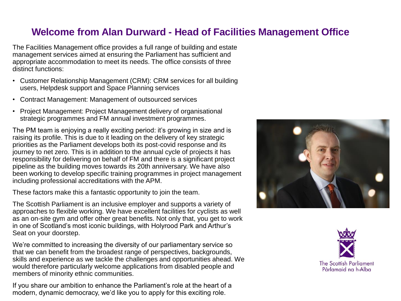## **Welcome from Alan Durward - Head of Facilities Management Office**

The Facilities Management office provides a full range of building and estate management services aimed at ensuring the Parliament has sufficient and appropriate accommodation to meet its needs. The office consists of three distinct functions:

- Customer Relationship Management (CRM): CRM services for all building users, Helpdesk support and Space Planning services
- Contract Management: Management of outsourced services
- Project Management: Project Management delivery of organisational strategic programmes and FM annual investment programmes.

The PM team is enjoying a really exciting period: it's growing in size and is raising its profile. This is due to it leading on the delivery of key strategic priorities as the Parliament develops both its post-covid response and its journey to net zero. This is in addition to the annual cycle of projects it has responsibility for delivering on behalf of FM and there is a significant project pipeline as the building moves towards its 20th anniversary. We have also been working to develop specific training programmes in project management including professional accreditations with the APM.

These factors make this a fantastic opportunity to join the team.

The Scottish Parliament is an inclusive employer and supports a variety of approaches to flexible working. We have excellent facilities for cyclists as well as an on-site gym and offer other great benefits. Not only that, you get to work in one of Scotland's most iconic buildings, with Holyrood Park and Arthur's Seat on your doorstep.

We're committed to increasing the diversity of our parliamentary service so that we can benefit from the broadest range of perspectives, backgrounds, skills and experience as we tackle the challenges and opportunities ahead. We would therefore particularly welcome applications from disabled people and members of minority ethnic communities.

If you share our ambition to enhance the Parliament's role at the heart of a modern, dynamic democracy, we'd like you to apply for this exciting role.



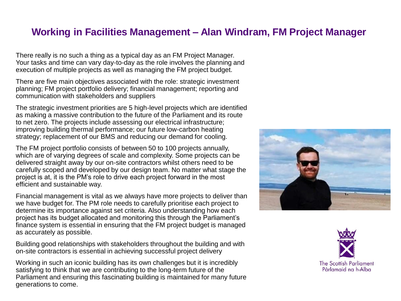### **Working in Facilities Management – Alan Windram, FM Project Manager**

There really is no such a thing as a typical day as an FM Project Manager. Your tasks and time can vary day-to-day as the role involves the planning and execution of multiple projects as well as managing the FM project budget.

There are five main objectives associated with the role: strategic investment planning; FM project portfolio delivery; financial management; reporting and communication with stakeholders and suppliers

The strategic investment priorities are 5 high-level projects which are identified as making a massive contribution to the future of the Parliament and its route to net zero. The projects include assessing our electrical infrastructure; improving building thermal performance; our future low-carbon heating strategy; replacement of our BMS and reducing our demand for cooling.

The FM project portfolio consists of between 50 to 100 projects annually, which are of varying degrees of scale and complexity. Some projects can be delivered straight away by our on-site contractors whilst others need to be carefully scoped and developed by our design team. No matter what stage the project is at, it is the PM's role to drive each project forward in the most efficient and sustainable way.

Financial management is vital as we always have more projects to deliver than we have budget for. The PM role needs to carefully prioritise each project to determine its importance against set criteria. Also understanding how each project has its budget allocated and monitoring this through the Parliament's finance system is essential in ensuring that the FM project budget is managed as accurately as possible.

Building good relationships with stakeholders throughout the building and with on-site contractors is essential in achieving successful project delivery

Working in such an iconic building has its own challenges but it is incredibly satisfying to think that we are contributing to the long-term future of the Parliament and ensuring this fascinating building is maintained for many future generations to come.



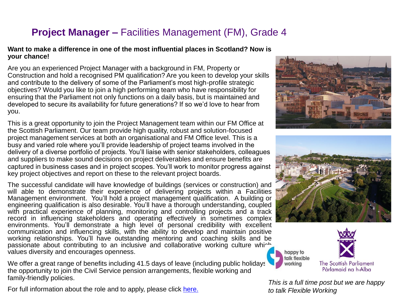# **Project Manager –** Facilities Management (FM), Grade 4

#### **Want to make a difference in one of the most influential places in Scotland? Now is your chance!**

Are you an experienced Project Manager with a background in FM, Property or Construction and hold a recognised PM qualification? Are you keen to develop your skills and contribute to the delivery of some of the Parliament's most high-profile strategic objectives? Would you like to join a high performing team who have responsibility for ensuring that the Parliament not only functions on a daily basis, but is maintained and developed to secure its availability for future generations? If so we'd love to hear from you.

This is a great opportunity to join the Project Management team within our FM Office at the Scottish Parliament. Our team provide high quality, robust and solution-focused project management services at both an organisational and FM Office level. This is a busy and varied role where you'll provide leadership of project teams involved in the delivery of a diverse portfolio of projects. You'll liaise with senior stakeholders, colleagues and suppliers to make sound decisions on project deliverables and ensure benefits are captured in business cases and in project scopes. You'll work to monitor progress against key project objectives and report on these to the relevant project boards.

The successful candidate will have knowledge of buildings (services or construction) and will able to demonstrate their experience of delivering projects within a Facilities Management environment. You'll hold a project management qualification. A building or engineering qualification is also desirable. You'll have a thorough understanding, coupled with practical experience of planning, monitoring and controlling projects and a track record in influencing stakeholders and operating effectively in sometimes complex environments. You'll demonstrate a high level of personal credibility with excellent communication and influencing skills, with the ability to develop and maintain positive working relationships. You'll have outstanding mentoring and coaching skills and be passionate about contributing to an inclusive and collaborative working culture which values diversity and encourages openness.

We offer a great range of benefits including 41.5 days of leave (including public holidays) the opportunity to join the Civil Service pension arrangements, flexible working and family-friendly policies.

For full information about the role and to apply, please click [here.](https://careers.parliament.scot/vacancies/388/permanent-project-manager.html)







*This is a full time post but we are happy to talk Flexible Working*

happy to talk flexible

working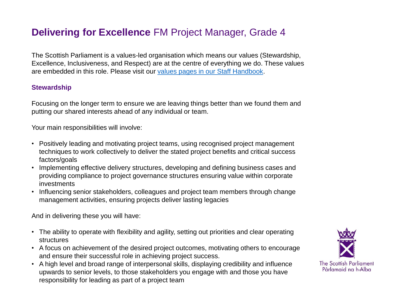## **Delivering for Excellence** FM Project Manager, Grade 4

The Scottish Parliament is a values-led organisation which means our values (Stewardship, Excellence, Inclusiveness, and Respect) are at the centre of everything we do. These values are embedded in this role. Please visit our [values pages in our Staff Handbook.](https://68e964d4-3a85-4c03-89f7-d6c59f31a423.filesusr.com/ugd/575088_bd04bcaf99db4123a5df3250c35301a6.pdf)

### **Stewardship**

Focusing on the longer term to ensure we are leaving things better than we found them and putting our shared interests ahead of any individual or team.

Your main responsibilities will involve:

- Positively leading and motivating project teams, using recognised project management techniques to work collectively to deliver the stated project benefits and critical success factors/goals
- Implementing effective delivery structures, developing and defining business cases and providing compliance to project governance structures ensuring value within corporate investments
- Influencing senior stakeholders, colleagues and project team members through change management activities, ensuring projects deliver lasting legacies

- The ability to operate with flexibility and agility, setting out priorities and clear operating structures
- A focus on achievement of the desired project outcomes, motivating others to encourage and ensure their successful role in achieving project success.
- A high level and broad range of interpersonal skills, displaying credibility and influence upwards to senior levels, to those stakeholders you engage with and those you have responsibility for leading as part of a project team

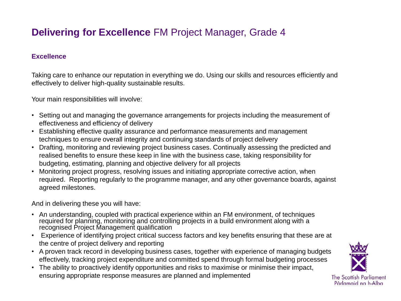# **Delivering for Excellence** FM Project Manager, Grade 4

### **Excellence**

Taking care to enhance our reputation in everything we do. Using our skills and resources efficiently and effectively to deliver high-quality sustainable results.

Your main responsibilities will involve:

- Setting out and managing the governance arrangements for projects including the measurement of effectiveness and efficiency of delivery
- Establishing effective quality assurance and performance measurements and management techniques to ensure overall integrity and continuing standards of project delivery
- Drafting, monitoring and reviewing project business cases. Continually assessing the predicted and realised benefits to ensure these keep in line with the business case, taking responsibility for budgeting, estimating, planning and objective delivery for all projects
- Monitoring project progress, resolving issues and initiating appropriate corrective action, when required. Reporting regularly to the programme manager, and any other governance boards, against agreed milestones.

- An understanding, coupled with practical experience within an FM environment, of techniques required for planning, monitoring and controlling projects in a build environment along with a recognised Project Management qualification
- Experience of identifying project critical success factors and key benefits ensuring that these are at the centre of project delivery and reporting
- A proven track record in developing business cases, together with experience of managing budgets effectively, tracking project expenditure and committed spend through formal budgeting processes
- The ability to proactively identify opportunities and risks to maximise or minimise their impact, ensuring appropriate response measures are planned and implemented

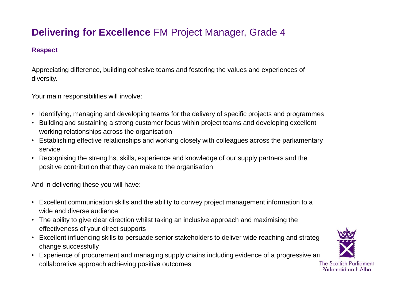# **Delivering for Excellence** FM Project Manager, Grade 4

### **Respect**

Appreciating difference, building cohesive teams and fostering the values and experiences of diversity.

Your main responsibilities will involve:

- Identifying, managing and developing teams for the delivery of specific projects and programmes
- Building and sustaining a strong customer focus within project teams and developing excellent working relationships across the organisation
- Establishing effective relationships and working closely with colleagues across the parliamentary service
- Recognising the strengths, skills, experience and knowledge of our supply partners and the positive contribution that they can make to the organisation

- Excellent communication skills and the ability to convey project management information to a wide and diverse audience
- The ability to give clear direction whilst taking an inclusive approach and maximising the effectiveness of your direct supports
- Excellent influencing skills to persuade senior stakeholders to deliver wide reaching and strateg change successfully
- Experience of procurement and managing supply chains including evidence of a progressive an collaborative approach achieving positive outcomes

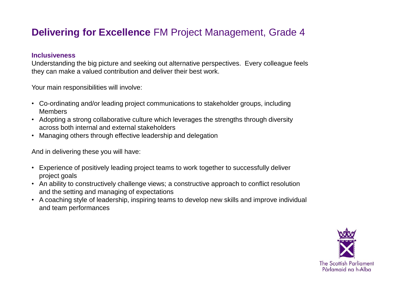## **Delivering for Excellence** FM Project Management, Grade 4

#### **Inclusiveness**

Understanding the big picture and seeking out alternative perspectives. Every colleague feels they can make a valued contribution and deliver their best work.

Your main responsibilities will involve:

- Co-ordinating and/or leading project communications to stakeholder groups, including Members
- Adopting a strong collaborative culture which leverages the strengths through diversity across both internal and external stakeholders
- Managing others through effective leadership and delegation

- Experience of positively leading project teams to work together to successfully deliver project goals
- An ability to constructively challenge views; a constructive approach to conflict resolution and the setting and managing of expectations
- A coaching style of leadership, inspiring teams to develop new skills and improve individual and team performances

![](_page_7_Picture_11.jpeg)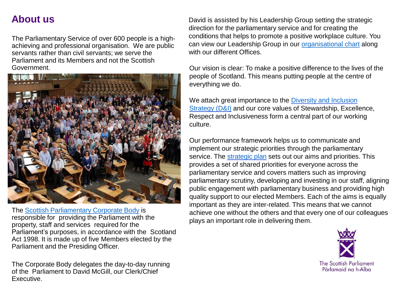## **About us**

The Parliamentary Service of over 600 people is a highachieving and professional organisation. We are public servants rather than civil servants; we serve the Parliament and its Members and not the Scottish Government.

![](_page_8_Picture_2.jpeg)

The [Scottish Parliamentary Corporate Body](https://www.parliament.scot/about/how-parliament-works/parliament-organisations-groups-and-people/scottish-parliamentary-corporate-body) is responsible for providing the Parliament with the property, staff and services required for the Parliament's purposes, in accordance with the Scotland Act 1998. It is made up of five Members elected by the Parliament and the Presiding Officer.

The Corporate Body delegates the day-to-day running of the Parliament to David McGill, our Clerk/Chief Executive.

David is assisted by his Leadership Group setting the strategic direction for the parliamentary service and for creating the conditions that helps to promote a positive workplace culture. You can view our Leadership Group in our [organisational chart](https://www.parliament.scot/-/media/files/People-and-Culture/Scottish-Parliament-organisational-chart.pdf) along with our different Offices.

Our vision is clear: To make a positive difference to the lives of the people of Scotland. This means putting people at the centre of everything we do.

We attach great importance to the Diversity and Inclusion Strategy (D&I) [and our core values of Stewardship, Excell](https://www.parliament.scot/about/working-for-the-scottish-parliament/equality-diversity-and-inclusion)ence, Respect and Inclusiveness form a central part of our working culture.

Our performance framework helps us to communicate and implement our strategic priorities through the parliamentary service. The [strategic plan](https://www.parliament.scot/about/how-parliament-works/strategic-plan) sets out our aims and priorities. This provides a set of shared priorities for everyone across the parliamentary service and covers matters such as improving parliamentary scrutiny, developing and investing in our staff, aligning public engagement with parliamentary business and providing high quality support to our elected Members. Each of the aims is equally important as they are inter-related. This means that we cannot achieve one without the others and that every one of our colleagues plays an important role in delivering them.

![](_page_8_Picture_9.jpeg)